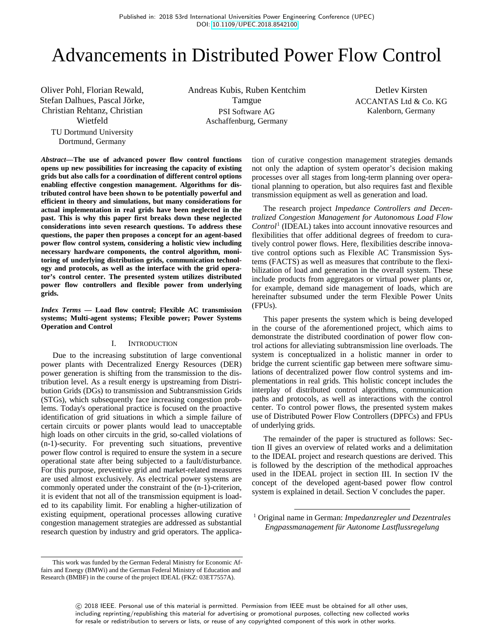# Advancements in Distributed Power Flow Control

Oliver Pohl, Florian Rewald, Stefan Dalhues, Pascal Jörke, Christian Rehtanz, Christian Wietfeld TU Dortmund University

Dortmund, Germany

Andreas Kubis, Ruben Kentchim Tamgue PSI Software AG Aschaffenburg, Germany

Detlev Kirsten ACCANTAS Ltd & Co. KG Kalenborn, Germany

*Abstract***—The use of advanced power flow control functions opens up new possibilities for increasing the capacity of existing grids but also calls for a coordination of different control options enabling effective congestion management. Algorithms for distributed control have been shown to be potentially powerful and efficient in theory and simulations, but many considerations for actual implementation in real grids have been neglected in the past. This is why this paper first breaks down these neglected considerations into seven research questions. To address these questions, the paper then proposes a concept for an agent-based power flow control system, considering a holistic view including necessary hardware components, the control algorithm, monitoring of underlying distribution grids, communication technology and protocols, as well as the interface with the grid operator's control center. The presented system utilizes distributed power flow controllers and flexible power from underlying grids.**

*Index Terms* **— Load flow control; Flexible AC transmission systems; Multi-agent systems; Flexible power; Power Systems Operation and Control**

## I. INTRODUCTION

Due to the increasing substitution of large conventional power plants with Decentralized Energy Resources (DER) power generation is shifting from the transmission to the distribution level. As a result energy is upstreaming from Distribution Grids (DGs) to transmission and Subtransmission Grids (STGs), which subsequently face increasing congestion problems. Today's operational practice is focused on the proactive identification of grid situations in which a simple failure of certain circuits or power plants would lead to unacceptable high loads on other circuits in the grid, so-called violations of (n-1)-security. For preventing such situations, preventive power flow control is required to ensure the system in a secure operational state after being subjected to a fault/disturbance. For this purpose, preventive grid and market-related measures are used almost exclusively. As electrical power systems are commonly operated under the constraint of the (n-1)-criterion, it is evident that not all of the transmission equipment is loaded to its capability limit. For enabling a higher-utilization of existing equipment, operational processes allowing curative congestion management strategies are addressed as substantial research question by industry and grid operators. The applica-

This work was funded by the German Federal Ministry for Economic Affairs and Energy (BMWi) and the German Federal Ministry of Education and Research (BMBF) in the course of the project IDEAL (FKZ: 03ET7557A).

tion of curative congestion management strategies demands not only the adaption of system operator's decision making processes over all stages from long-term planning over operational planning to operation, but also requires fast and flexible transmission equipment as well as generation and load.

The research project *Impedance Controllers and Decentralized Congestion Management for Autonomous Load Flow Control*<sup>1</sup> (IDEAL) takes into account innovative resources and flexibilities that offer additional degrees of freedom to curatively control power flows. Here, flexibilities describe innovative control options such as Flexible AC Transmission Systems (FACTS) as well as measures that contribute to the flexibilization of load and generation in the overall system. These include products from aggregators or virtual power plants or, for example, demand side management of loads, which are hereinafter subsumed under the term Flexible Power Units (FPUs).

This paper presents the system which is being developed in the course of the aforementioned project, which aims to demonstrate the distributed coordination of power flow control actions for alleviating subtransmission line overloads. The system is conceptualized in a holistic manner in order to bridge the current scientific gap between mere software simulations of decentralized power flow control systems and implementations in real grids. This holistic concept includes the interplay of distributed control algorithms, communication paths and protocols, as well as interactions with the control center. To control power flows, the presented system makes use of Distributed Power Flow Controllers (DPFCs) and FPUs of underlying grids.

The remainder of the paper is structured as follows: Section II gives an overview of related works and a delimitation to the IDEAL project and research questions are derived. This is followed by the description of the methodical approaches used in the IDEAL project in section III. In section IV the concept of the developed agent-based power flow control system is explained in detail. Section V concludes the paper.

 1 Original name in German: *Impedanzregler und Dezentrales Engpassmanagement für Autonome Lastflussregelung*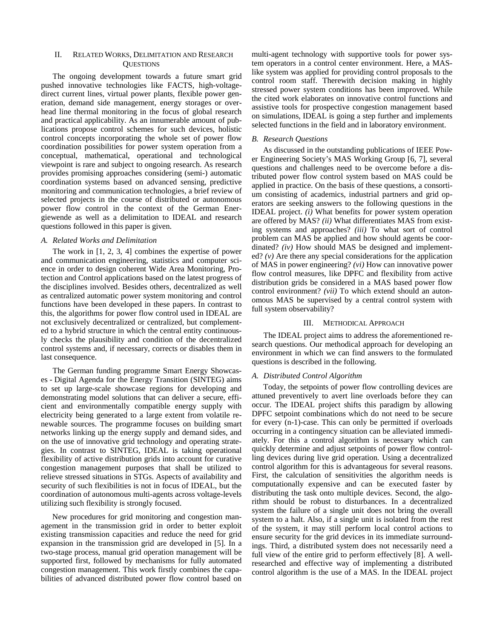## II. RELATED WORKS, DELIMITATION AND RESEARCH **OUESTIONS**

The ongoing development towards a future smart grid pushed innovative technologies like FACTS, high-voltagedirect current lines, virtual power plants, flexible power generation, demand side management, energy storages or overhead line thermal monitoring in the focus of global research and practical applicability. As an innumerable amount of publications propose control schemes for such devices, holistic control concepts incorporating the whole set of power flow coordination possibilities for power system operation from a conceptual, mathematical, operational and technological viewpoint is rare and subject to ongoing research. As research provides promising approaches considering (semi-) automatic coordination systems based on advanced sensing, predictive monitoring and communication technologies, a brief review of selected projects in the course of distributed or autonomous power flow control in the context of the German Energiewende as well as a delimitation to IDEAL and research questions followed in this paper is given.

## *A. Related Works and Delimitation*

The work in [1, 2, 3, 4] combines the expertise of power and communication engineering, statistics and computer science in order to design coherent Wide Area Monitoring, Protection and Control applications based on the latest progress of the disciplines involved. Besides others, decentralized as well as centralized automatic power system monitoring and control functions have been developed in these papers. In contrast to this, the algorithms for power flow control used in IDEAL are not exclusively decentralized or centralized, but complemented to a hybrid structure in which the central entity continuously checks the plausibility and condition of the decentralized control systems and, if necessary, corrects or disables them in last consequence.

The German funding programme Smart Energy Showcases - Digital Agenda for the Energy Transition (SINTEG) aims to set up large-scale showcase regions for developing and demonstrating model solutions that can deliver a secure, efficient and environmentally compatible energy supply with electricity being generated to a large extent from volatile renewable sources. The programme focuses on building smart networks linking up the energy supply and demand sides, and on the use of innovative grid technology and operating strategies. In contrast to SINTEG, IDEAL is taking operational flexibility of active distribution grids into account for curative congestion management purposes that shall be utilized to relieve stressed situations in STGs. Aspects of availability and security of such flexibilities is not in focus of IDEAL, but the coordination of autonomous multi-agents across voltage-levels utilizing such flexibility is strongly focused.

New procedures for grid monitoring and congestion management in the transmission grid in order to better exploit existing transmission capacities and reduce the need for grid expansion in the transmission grid are developed in [5]. In a two-stage process, manual grid operation management will be supported first, followed by mechanisms for fully automated congestion management. This work firstly combines the capabilities of advanced distributed power flow control based on multi-agent technology with supportive tools for power system operators in a control center environment. Here, a MASlike system was applied for providing control proposals to the control room staff. Therewith decision making in highly stressed power system conditions has been improved. While the cited work elaborates on innovative control functions and assistive tools for prospective congestion management based on simulations, IDEAL is going a step further and implements selected functions in the field and in laboratory environment.

#### *B. Research Questions*

As discussed in the outstanding publications of IEEE Power Engineering Society's MAS Working Group [6, 7], several questions and challenges need to be overcome before a distributed power flow control system based on MAS could be applied in practice. On the basis of these questions, a consortium consisting of academics, industrial partners and grid operators are seeking answers to the following questions in the IDEAL project. *(i)* What benefits for power system operation are offered by MAS? *(ii)* What differentiates MAS from existing systems and approaches? *(iii)* To what sort of control problem can MAS be applied and how should agents be coordinated? *(iv)* How should MAS be designed and implemented? *(v)* Are there any special considerations for the application of MAS in power engineering? *(vi)* How can innovative power flow control measures, like DPFC and flexibility from active distribution grids be considered in a MAS based power flow control environment? *(vii)* To which extend should an autonomous MAS be supervised by a central control system with full system observability?

#### III. METHODICAL APPROACH

The IDEAL project aims to address the aforementioned research questions. Our methodical approach for developing an environment in which we can find answers to the formulated questions is described in the following.

#### *A. Distributed Control Algorithm*

Today, the setpoints of power flow controlling devices are attuned preventively to avert line overloads before they can occur. The IDEAL project shifts this paradigm by allowing DPFC setpoint combinations which do not need to be secure for every (n-1)-case. This can only be permitted if overloads occurring in a contingency situation can be alleviated immediately. For this a control algorithm is necessary which can quickly determine and adjust setpoints of power flow controlling devices during live grid operation. Using a decentralized control algorithm for this is advantageous for several reasons. First, the calculation of sensitivities the algorithm needs is computationally expensive and can be executed faster by distributing the task onto multiple devices. Second, the algorithm should be robust to disturbances. In a decentralized system the failure of a single unit does not bring the overall system to a halt. Also, if a single unit is isolated from the rest of the system, it may still perform local control actions to ensure security for the grid devices in its immediate surroundings. Third, a distributed system does not necessarily need a full view of the entire grid to perform effectively [8]. A wellresearched and effective way of implementing a distributed control algorithm is the use of a MAS. In the IDEAL project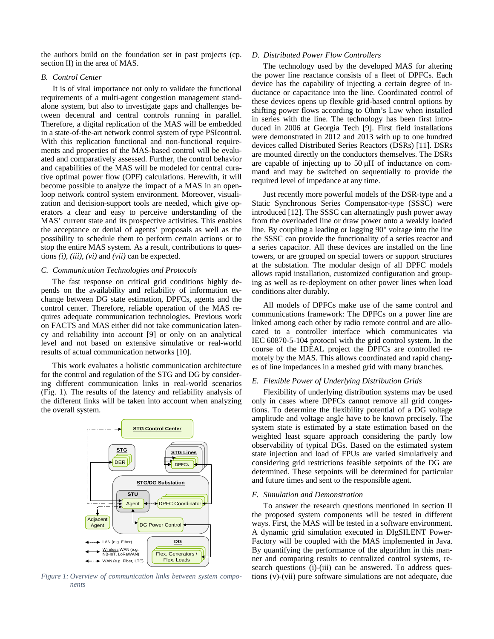the authors build on the foundation set in past projects (cp. section II) in the area of MAS.

## *B. Control Center*

It is of vital importance not only to validate the functional requirements of a multi-agent congestion management standalone system, but also to investigate gaps and challenges between decentral and central controls running in parallel. Therefore, a digital replication of the MAS will be embedded in a state-of-the-art network control system of type PSIcontrol. With this replication functional and non-functional requirements and properties of the MAS-based control will be evaluated and comparatively assessed. Further, the control behavior and capabilities of the MAS will be modeled for central curative optimal power flow (OPF) calculations. Herewith, it will become possible to analyze the impact of a MAS in an openloop network control system environment. Moreover, visualization and decision-support tools are needed, which give operators a clear and easy to perceive understanding of the MAS' current state and its prospective activities. This enables the acceptance or denial of agents' proposals as well as the possibility to schedule them to perform certain actions or to stop the entire MAS system. As a result, contributions to questions *(i)*, *(iii)*, *(vi)* and *(vii)* can be expected.

## *C. Communication Technologies and Protocols*

The fast response on critical grid conditions highly depends on the availability and reliability of information exchange between DG state estimation, DPFCs, agents and the control center. Therefore, reliable operation of the MAS requires adequate communication technologies. Previous work on FACTS and MAS either did not take communication latency and reliability into account [9] or only on an analytical level and not based on extensive simulative or real-world results of actual communication networks [10].

This work evaluates a holistic communication architecture for the control and regulation of the STG and DG by considering different communication links in real-world scenarios (Fig. 1). The results of the latency and reliability analysis of the different links will be taken into account when analyzing the overall system.



*Figure 1: Overview of communication links between system components*

#### *D. Distributed Power Flow Controllers*

The technology used by the developed MAS for altering the power line reactance consists of a fleet of DPFCs. Each device has the capability of injecting a certain degree of inductance or capacitance into the line. Coordinated control of these devices opens up flexible grid-based control options by shifting power flows according to Ohm's Law when installed in series with the line. The technology has been first introduced in 2006 at Georgia Tech [9]. First field installations were demonstrated in 2012 and 2013 with up to one hundred devices called Distributed Series Reactors (DSRs) [11]. DSRs are mounted directly on the conductors themselves. The DSRs are capable of injecting up to 50 μH of inductance on command and may be switched on sequentially to provide the required level of impedance at any time.

Just recently more powerful models of the DSR-type and a Static Synchronous Series Compensator-type (SSSC) were introduced [12]. The SSSC can alternatingly push power away from the overloaded line or draw power onto a weakly loaded line. By coupling a leading or lagging 90° voltage into the line the SSSC can provide the functionality of a series reactor and a series capacitor. All these devices are installed on the line towers, or are grouped on special towers or support structures at the substation. The modular design of all DPFC models allows rapid installation, customized configuration and grouping as well as re-deployment on other power lines when load conditions alter durably.

All models of DPFCs make use of the same control and communications framework: The DPFCs on a power line are linked among each other by radio remote control and are allocated to a controller interface which communicates via IEC 60870-5-104 protocol with the grid control system. In the course of the IDEAL project the DPFCs are controlled remotely by the MAS. This allows coordinated and rapid changes of line impedances in a meshed grid with many branches.

## *E. Flexible Power of Underlying Distribution Grids*

Flexibility of underlying distribution systems may be used only in cases where DPFCs cannot remove all grid congestions. To determine the flexibility potential of a DG voltage amplitude and voltage angle have to be known precisely. The system state is estimated by a state estimation based on the weighted least square approach considering the partly low observability of typical DGs. Based on the estimated system state injection and load of FPUs are varied simulatively and considering grid restrictions feasible setpoints of the DG are determined. These setpoints will be determined for particular and future times and sent to the responsible agent.

#### *F. Simulation and Demonstration*

To answer the research questions mentioned in section II the proposed system components will be tested in different ways. First, the MAS will be tested in a software environment. A dynamic grid simulation executed in DIgSILENT Power-Factory will be coupled with the MAS implemented in Java. By quantifying the performance of the algorithm in this manner and comparing results to centralized control systems, research questions (i)-(iii) can be answered. To address questions (v)-(vii) pure software simulations are not adequate, due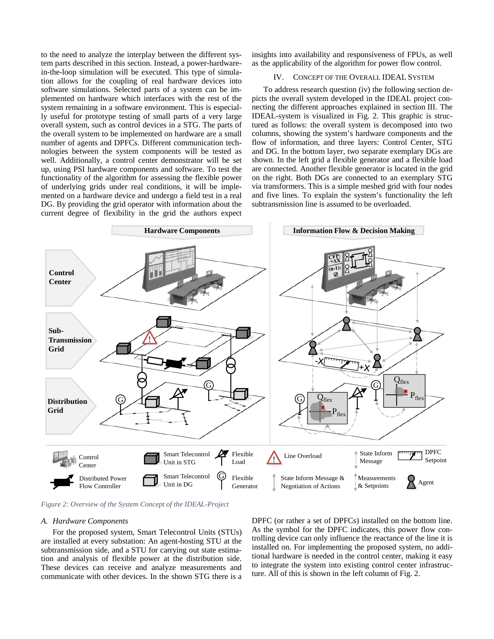to the need to analyze the interplay between the different system parts described in this section. Instead, a power-hardwarein-the-loop simulation will be executed. This type of simulation allows for the coupling of real hardware devices into software simulations. Selected parts of a system can be implemented on hardware which interfaces with the rest of the system remaining in a software environment. This is especially useful for prototype testing of small parts of a very large overall system, such as control devices in a STG. The parts of the overall system to be implemented on hardware are a small number of agents and DPFCs. Different communication technologies between the system components will be tested as well. Additionally, a control center demonstrator will be set up, using PSI hardware components and software. To test the functionality of the algorithm for assessing the flexible power of underlying grids under real conditions, it will be implemented on a hardware device and undergo a field test in a real DG. By providing the grid operator with information about the current degree of flexibility in the grid the authors expect insights into availability and responsiveness of FPUs, as well as the applicability of the algorithm for power flow control.

#### IV. CONCEPT OF THE OVERALL IDEAL SYSTEM

To address research question (iv) the following section depicts the overall system developed in the IDEAL project connecting the different approaches explained in section III. The IDEAL-system is visualized in Fig. 2. This graphic is structured as follows: the overall system is decomposed into two columns, showing the system's hardware components and the flow of information, and three layers: Control Center, STG and DG. In the bottom layer, two separate exemplary DGs are shown. In the left grid a flexible generator and a flexible load are connected. Another flexible generator is located in the grid on the right. Both DGs are connected to an exemplary STG via transformers. This is a simple meshed grid with four nodes and five lines. To explain the system's functionality the left subtransmission line is assumed to be overloaded.



*Figure 2: Overview of the System Concept of the IDEAL-Project*

#### *A. Hardware Components*

For the proposed system, Smart Telecontrol Units (STUs) are installed at every substation: An agent-hosting STU at the subtransmission side, and a STU for carrying out state estimation and analysis of flexible power at the distribution side. These devices can receive and analyze measurements and communicate with other devices. In the shown STG there is a DPFC (or rather a set of DPFCs) installed on the bottom line. As the symbol for the DPFC indicates, this power flow controlling device can only influence the reactance of the line it is installed on. For implementing the proposed system, no additional hardware is needed in the control center, making it easy to integrate the system into existing control center infrastructure. All of this is shown in the left column of Fig. 2.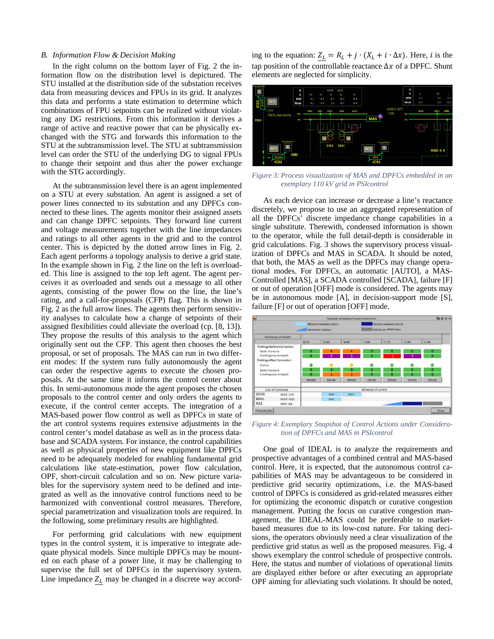#### *B. Information Flow & Decision Making*

In the right column on the bottom layer of Fig. 2 the information flow on the distribution level is depictured. The STU installed at the distribution side of the substation receives data from measuring devices and FPUs in its grid. It analyzes this data and performs a state estimation to determine which combinations of FPU setpoints can be realized without violating any DG restrictions. From this information it derives a range of active and reactive power that can be physically exchanged with the STG and forwards this information to the STU at the subtransmission level. The STU at subtransmission level can order the STU of the underlying DG to signal FPUs to change their setpoint and thus alter the power exchange with the STG accordingly.

At the subtransmission level there is an agent implemented on a STU at every substation. An agent is assigned a set of power lines connected to its substation and any DPFCs connected to these lines. The agents monitor their assigned assets and can change DPFC setpoints. They forward line current and voltage measurements together with the line impedances and ratings to all other agents in the grid and to the control center. This is depicted by the dotted arrow lines in Fig. 2. Each agent performs a topology analysis to derive a grid state. In the example shown in Fig. 2 the line on the left is overloaded. This line is assigned to the top left agent. The agent perceives it as overloaded and sends out a message to all other agents, consisting of the power flow on the line, the line's rating, and a call-for-proposals (CFP) flag. This is shown in Fig. 2 as the full arrow lines. The agents then perform sensitivity analyses to calculate how a change of setpoints of their assigned flexibilities could alleviate the overload (cp. [8, 13]). They propose the results of this analysis to the agent which originally sent out the CFP. This agent then chooses the best proposal, or set of proposals. The MAS can run in two different modes: If the system runs fully autonomously the agent can order the respective agents to execute the chosen proposals. At the same time it informs the control center about this. In semi-autonomous mode the agent proposes the chosen proposals to the control center and only orders the agents to execute, if the control center accepts. The integration of a MAS-based power flow control as well as DPFCs in state of the art control systems requires extensive adjustments in the control center's model database as well as in the process database and SCADA system. For instance, the control capabilities as well as physical properties of new equipment like DPFCs need to be adequately modeled for enabling fundamental grid calculations like state-estimation, power flow calculation, OPF, short-circuit calculation and so on. New picture variables for the supervisory system need to be defined and integrated as well as the innovative control functions need to be harmonized with conventional control measures. Therefore, special parametrization and visualization tools are required. In the following, some preliminary results are highlighted.

For performing grid calculations with new equipment types in the control system, it is imperative to integrate adequate physical models. Since multiple DPFCs may be mounted on each phase of a power line, it may be challenging to supervise the full set of DPFCs in the supervisory system. Line impedance  $Z_L$  may be changed in a discrete way according to the equation:  $Z_L = R_L + j \cdot (X_L + i \cdot \Delta x)$ . Here, *i* is the tap position of the controllable reactance  $\Delta x$  of a DPFC. Shunt elements are neglected for simplicity.



*Figure 3: Process visualization of MAS and DPFCs embedded in an exemplary 110 kV grid in PSIcontrol*

As each device can increase or decrease a line's reactance discretely, we propose to use an aggregated representation of all the DPFCs' discrete impedance change capabilities in a single substitute. Therewith, condensed information is shown to the operator, while the full detail-depth is considerable in grid calculations. Fig. 3 shows the supervisory process visualization of DPFCs and MAS in SCADA. It should be noted, that both, the MAS as well as the DPFCs may change operational modes. For DPFCs, an automatic [AUTO], a MAS-Controlled [MAS], a SCADA controlled [SCADA], failure [F] or out of operation [OFF] mode is considered. The agents may be in autonomous mode [A], in decision-support mode [S], failure [F] or out of operation [OFF] mode.



*Figure 4: Exemplary Snapshot of Control Actions under Consideration of DPFCs and MAS in PSIcontrol*

One goal of IDEAL is to analyze the requirements and prospective advantages of a combined central and MAS-based control. Here, it is expected, that the autonomous control capabilities of MAS may be advantageous to be considered in predictive grid security optimizations, i.e. the MAS-based control of DPFCs is considered as grid-related measures either for optimizing the economic dispatch or curative congestion management. Putting the focus on curative congestion management, the IDEAL-MAS could be preferable to marketbased measures due to its low-cost nature. For taking decisions, the operators obviously need a clear visualization of the predictive grid status as well as the proposed measures. Fig. 4 shows exemplary the control schedule of prospective controls. Here, the status and number of violations of operational limits are displayed either before or after executing an appropriate OPF aiming for alleviating such violations. It should be noted,